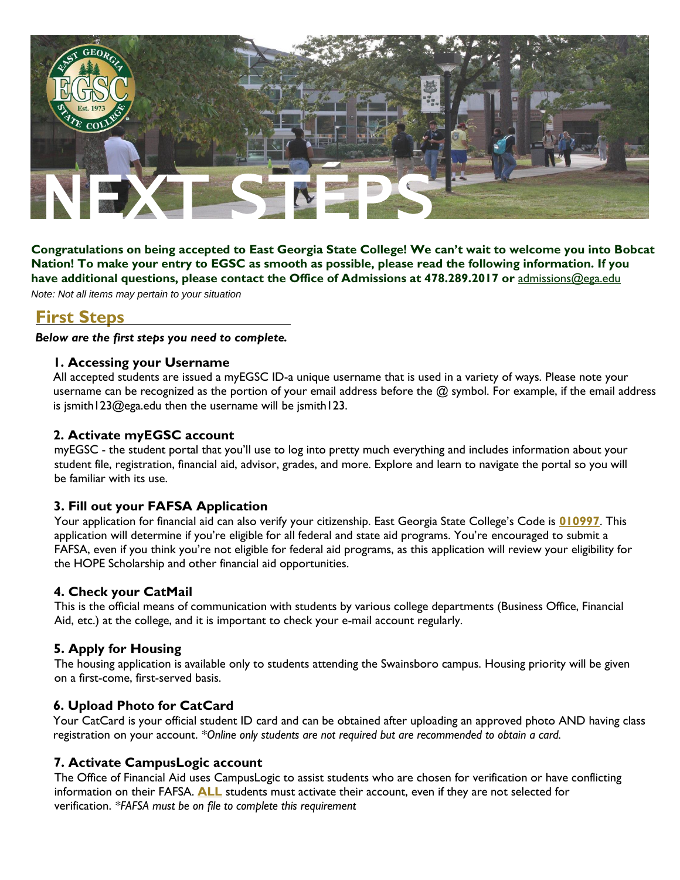

**Congratulations on being accepted to East Georgia State College! We can't wait to welcome you into Bobcat** Nation! To make your entry to EGSC as smooth as possible, please read the following information. If you **have additional questions, please contact the Office of Admissions at 478.289.2017 or** [admissions@ega.edu](mailto:admissions@ega.edu)

*Note: Not all items may pertain to your situation*

## **First Steps**

*Below are the first steps you need to complete.*

## **1. Accessing your Username**

All accepted students are issued a myEGSC ID-a unique username that is used in a variety of ways. Please note your username can be recognized as the portion of your email address before the @ symbol. For example, if the email address is jsmith123@ega.edu then the username will be jsmith123.

## **2. Activate myEGSC account**

myEGSC - the student portal that you'll use to log into pretty much everything and includes information about your student file, registration, financial aid, advisor, grades, and more. Explore and learn to navigate the portal so you will be familiar with its use.

## **3. Fill out your FAFSA Application**

Your application for financial aid can also verify your citizenship. East Georgia State College's Code is **010997**. This application will determine if you're eligible for all federal and state aid programs. You're encouraged to submit a FAFSA, even if you think you're not eligible for federal aid programs, as this application will review your eligibility for the HOPE Scholarship and other financial aid opportunities.

## **4. Check your CatMail**

This is the official means of communication with students by various college departments (Business Office, Financial Aid, etc.) at the college, and it is important to check your e-mail account regularly.

## **5. Apply for Housing**

The housing application is available only to students attending the Swainsboro campus. Housing priority will be given on a first-come, first-served basis.

## **6. Upload Photo for CatCard**

Your CatCard is your official student ID card and can be obtained after uploading an approved photo AND having class registration on your account. *\*Online only students are not required but are recommended to obtain a card.*

## **7. Activate CampusLogic account**

The Office of Financial Aid uses CampusLogic to assist students who are chosen for verification or have conflicting information on their FAFSA. **ALL** students must activate their account, even if they are not selected for verification. *\*FAFSA must be on file to complete this requirement*